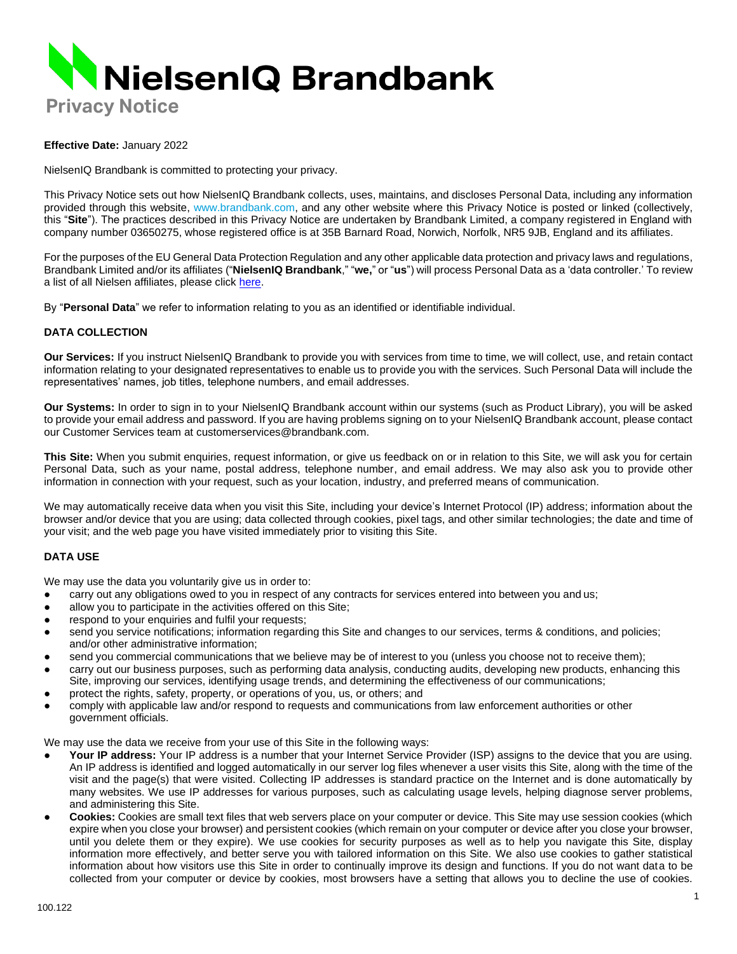

### **Effective Date:** January 2022

NielsenIQ Brandbank is committed to protecting your privacy.

This Privacy Notice sets out how NielsenIQ Brandbank collects, uses, maintains, and discloses Personal Data, including any information provided through this website, [www.brandbank.com,](http://www.brandbank.com/) and any other website where this Privacy Notice is posted or linked (collectively, this "**Site**"). The practices described in this Privacy Notice are undertaken by Brandbank Limited, a company registered in England with company number 03650275, whose registered office is at 35B Barnard Road, Norwich, Norfolk, NR5 9JB, England and its affiliates.

For the purposes of the EU General Data Protection Regulation and any other applicable data protection and privacy laws and regulations, Brandbank Limited and/or its affiliates ("**NielsenIQ Brandbank**," "**we,**" or "**us**") will process Personal Data as a 'data controller.' To review a list of all Nielsen affiliates, please clic[k here.](https://www.nielsen.com/eu/en/legal/privacy-statement/gdpr-operating-entities/)

By "**Personal Data**" we refer to information relating to you as an identified or identifiable individual.

### **DATA COLLECTION**

**Our Services:** If you instruct NielsenIQ Brandbank to provide you with services from time to time, we will collect, use, and retain contact information relating to your designated representatives to enable us to provide you with the services. Such Personal Data will include the representatives' names, job titles, telephone numbers, and email addresses.

**Our Systems:** In order to sign in to your NielsenIQ Brandbank account within our systems (such as Product Library), you will be asked to provide your email address and password. If you are having problems signing on to your NielsenIQ Brandbank account, please contact our Customer Services team at [customerservices@brandbank.com.](mailto:customerservices@brandbank.com)

**This Site:** When you submit enquiries, request information, or give us feedback on or in relation to this Site, we will ask you for certain Personal Data, such as your name, postal address, telephone number, and email address. We may also ask you to provide other information in connection with your request, such as your location, industry, and preferred means of communication.

We may automatically receive data when you visit this Site, including your device's Internet Protocol (IP) address; information about the browser and/or device that you are using; data collected through cookies, pixel tags, and other similar technologies; the date and time of your visit; and the web page you have visited immediately prior to visiting this Site.

## **DATA USE**

We may use the data you voluntarily give us in order to:

- carry out any obligations owed to you in respect of any contracts for services entered into between you and us;
- allow you to participate in the activities offered on this Site;
- respond to your enquiries and fulfil your requests;
- send you service notifications; information regarding this Site and changes to our services, terms & conditions, and policies; and/or other administrative information;
- send you commercial communications that we believe may be of interest to you (unless you choose not to receive them);
- carry out our business purposes, such as performing data analysis, conducting audits, developing new products, enhancing this Site, improving our services, identifying usage trends, and determining the effectiveness of our communications;
- protect the rights, safety, property, or operations of you, us, or others; and
- comply with applicable law and/or respond to requests and communications from law enforcement authorities or other government officials.

We may use the data we receive from your use of this Site in the following ways:

- Your IP address: Your IP address is a number that your Internet Service Provider (ISP) assigns to the device that you are using. An IP address is identified and logged automatically in our server log files whenever a user visits this Site, along with the time of the visit and the page(s) that were visited. Collecting IP addresses is standard practice on the Internet and is done automatically by many websites. We use IP addresses for various purposes, such as calculating usage levels, helping diagnose server problems, and administering this Site.
- **Cookies:** Cookies are small text files that web servers place on your computer or device. This Site may use session cookies (which expire when you close your browser) and persistent cookies (which remain on your computer or device after you close your browser, until you delete them or they expire). We use cookies for security purposes as well as to help you navigate this Site, display information more effectively, and better serve you with tailored information on this Site. We also use cookies to gather statistical information about how visitors use this Site in order to continually improve its design and functions. If you do not want data to be collected from your computer or device by cookies, most browsers have a setting that allows you to decline the use of cookies.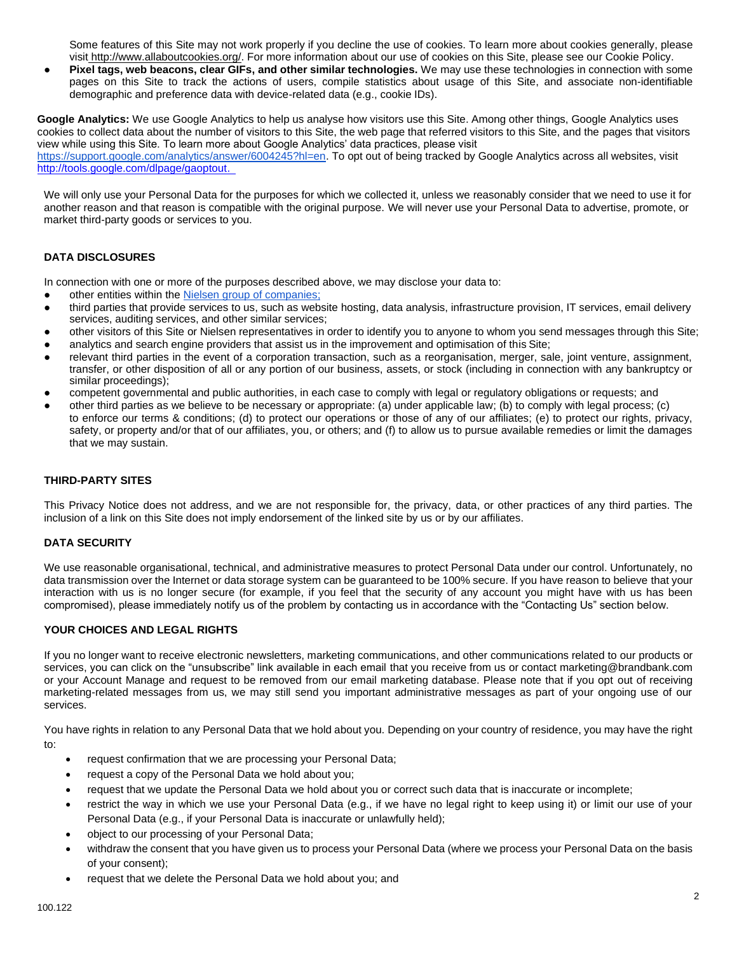Some features of this Site may not work properly if you decline the use of cookies. To learn more about cookies generally, please visit [http://www.allaboutcookies.org/. F](http://www.allaboutcookies.org/)or more information about our use of cookies on this Site, please see our Cookie Policy.

**Pixel tags, web beacons, clear GIFs, and other similar technologies.** We may use these technologies in connection with some pages on this Site to track the actions of users, compile statistics about usage of this Site, and associate non-identifiable demographic and preference data with device-related data (e.g., cookie IDs).

**Google Analytics:** We use Google Analytics to help us analyse how visitors use this Site. Among other things, Google Analytics uses cookies to collect data about the number of visitors to this Site, the web page that referred visitors to this Site, and the pages that visitors view while using this Site. To learn more about Google Analytics' data practices, please visit [https://support.google.com/analytics/answer/6004245?hl=en.](https://support.google.com/analytics/answer/6004245?hl=en) To opt out of being tracked by Google Analytics across all websites, visit <http://tools.google.com/dlpage/gaoptout.>

We will only use your Personal Data for the purposes for which we collected it, unless we reasonably consider that we need to use it for another reason and that reason is compatible with the original purpose. We will never use your Personal Data to advertise, promote, or market third-party goods or services to you.

# **DATA DISCLOSURES**

In connection with one or more of the purposes described above, we may disclose your data to:

- other entities within the [Nielsen group of companies;](http://www.nielsen.com/eu/en/privacy-policy/gdpr-operating-entities.html)
- third parties that provide services to us, such as website hosting, data analysis, infrastructure provision, IT services, email delivery services, auditing services, and other similar services;
- other visitors of this Site or Nielsen representatives in order to identify you to anyone to whom you send messages through this Site;
- analytics and search engine providers that assist us in the improvement and optimisation of this Site;
- relevant third parties in the event of a corporation transaction, such as a reorganisation, merger, sale, joint venture, assignment, transfer, or other disposition of all or any portion of our business, assets, or stock (including in connection with any bankruptcy or similar proceedings);
- competent governmental and public authorities, in each case to comply with legal or regulatory obligations or requests; and
- other third parties as we believe to be necessary or appropriate: (a) under applicable law; (b) to comply with legal process; (c) to enforce our terms & conditions; (d) to protect our operations or those of any of our affiliates; (e) to protect our rights, privacy, safety, or property and/or that of our affiliates, you, or others; and (f) to allow us to pursue available remedies or limit the damages that we may sustain.

# **THIRD-PARTY SITES**

This Privacy Notice does not address, and we are not responsible for, the privacy, data, or other practices of any third parties. The inclusion of a link on this Site does not imply endorsement of the linked site by us or by our affiliates.

# **DATA SECURITY**

We use reasonable organisational, technical, and administrative measures to protect Personal Data under our control. Unfortunately, no data transmission over the Internet or data storage system can be guaranteed to be 100% secure. If you have reason to believe that your interaction with us is no longer secure (for example, if you feel that the security of any account you might have with us has been compromised), please immediately notify us of the problem by contacting us in accordance with the "Contacting Us" section below.

## **YOUR CHOICES AND LEGAL RIGHTS**

If you no longer want to receive electronic newsletters, marketing communications, and other communications related to our products or services, you can click on the "unsubscribe" link available in each email that you receive from us or contact marketing@brandbank.com or your Account Manage and request to be removed from our email marketing database. Please note that if you opt out of receiving marketing-related messages from us, we may still send you important administrative messages as part of your ongoing use of our services.

You have rights in relation to any Personal Data that we hold about you. Depending on your country of residence, you may have the right to:

- request confirmation that we are processing your Personal Data;
- request a copy of the Personal Data we hold about you;
- request that we update the Personal Data we hold about you or correct such data that is inaccurate or incomplete;
- restrict the way in which we use your Personal Data (e.g., if we have no legal right to keep using it) or limit our use of your Personal Data (e.g., if your Personal Data is inaccurate or unlawfully held);
- object to our processing of your Personal Data;
- withdraw the consent that you have given us to process your Personal Data (where we process your Personal Data on the basis of your consent);
- request that we delete the Personal Data we hold about you; and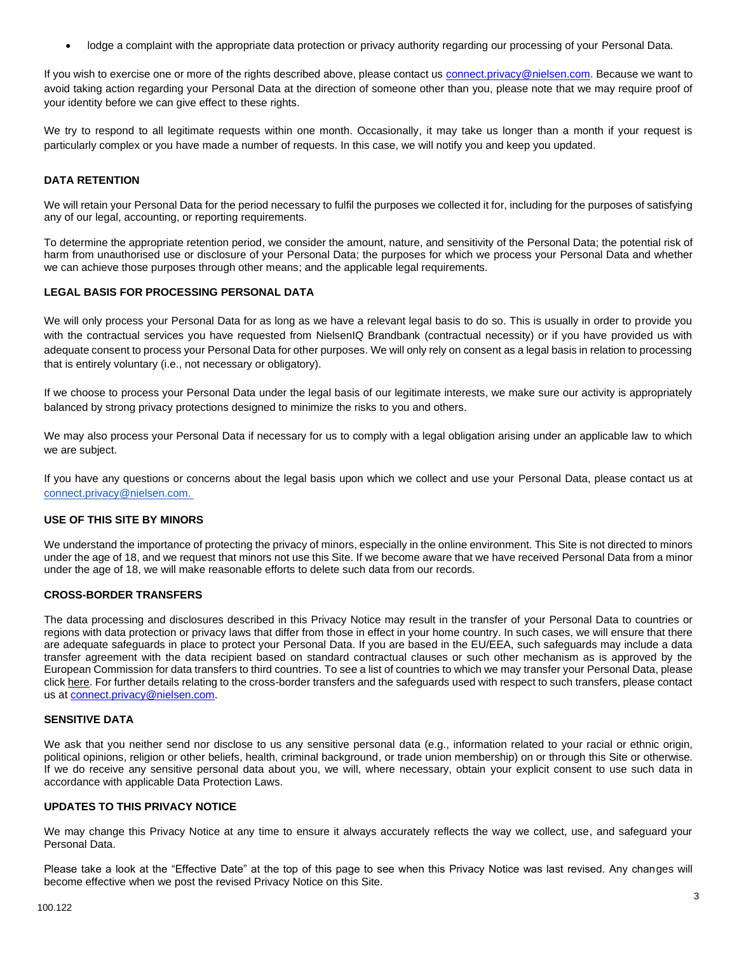• lodge a complaint with the appropriate data protection or privacy authority regarding our processing of your Personal Data.

If you wish to exercise one or more of the rights described above, please contact u[s connect.privacy@nielsen.com.](mailto:connect.privacy@nielsen.com) Because we want to avoid taking action regarding your Personal Data at the direction of someone other than you, please note that we may require proof of your identity before we can give effect to these rights.

We try to respond to all legitimate requests within one month. Occasionally, it may take us longer than a month if your request is particularly complex or you have made a number of requests. In this case, we will notify you and keep you updated.

## **DATA RETENTION**

We will retain your Personal Data for the period necessary to fulfil the purposes we collected it for, including for the purposes of satisfying any of our legal, accounting, or reporting requirements.

To determine the appropriate retention period, we consider the amount, nature, and sensitivity of the Personal Data; the potential risk of harm from unauthorised use or disclosure of your Personal Data; the purposes for which we process your Personal Data and whether we can achieve those purposes through other means; and the applicable legal requirements.

# **LEGAL BASIS FOR PROCESSING PERSONAL DATA**

We will only process your Personal Data for as long as we have a relevant legal basis to do so. This is usually in order to provide you with the contractual services you have requested from NielsenIQ Brandbank (contractual necessity) or if you have provided us with adequate consent to process your Personal Data for other purposes. We will only rely on consent as a legal basis in relation to processing that is entirely voluntary (i.e., not necessary or obligatory).

If we choose to process your Personal Data under the legal basis of our legitimate interests, we make sure our activity is appropriately balanced by strong privacy protections designed to minimize the risks to you and others.

We may also process your Personal Data if necessary for us to comply with a legal obligation arising under an applicable law to which we are subject.

If you have any questions or concerns about the legal basis upon which we collect and use your Personal Data, please contact us at connect.privacy@nielsen.com.

## **USE OF THIS SITE BY MINORS**

We understand the importance of protecting the privacy of minors, especially in the online environment. This Site is not directed to minors under the age of 18, and we request that minors not use this Site. If we become aware that we have received Personal Data from a minor under the age of 18, we will make reasonable efforts to delete such data from our records.

## **CROSS-BORDER TRANSFERS**

The data processing and disclosures described in this Privacy Notice may result in the transfer of your Personal Data to countries or regions with data protection or privacy laws that differ from those in effect in your home country. In such cases, we will ensure that there are adequate safeguards in place to protect your Personal Data. If you are based in the EU/EEA, such safeguards may include a data transfer agreement with the data recipient based on standard contractual clauses or such other mechanism as is approved by the European Commission for data transfers to third countries. To see a list of countries to which we may transfer your Personal Data, please clic[k here.](http://www.nielsen.com/eu/en/privacy-policy/data-transfer.html) For further details relating to the cross-border transfers and the safeguards used with respect to such transfers, please contact us at connect.privacy@nielsen.com.

#### **SENSITIVE DATA**

We ask that you neither send nor disclose to us any sensitive personal data (e.g., information related to your racial or ethnic origin, political opinions, religion or other beliefs, health, criminal background, or trade union membership) on or through this Site or otherwise. If we do receive any sensitive personal data about you, we will, where necessary, obtain your explicit consent to use such data in accordance with applicable Data Protection Laws.

#### **UPDATES TO THIS PRIVACY NOTICE**

We may change this Privacy Notice at any time to ensure it always accurately reflects the way we collect, use, and safeguard your Personal Data.

Please take a look at the "Effective Date" at the top of this page to see when this Privacy Notice was last revised. Any changes will become effective when we post the revised Privacy Notice on this Site.